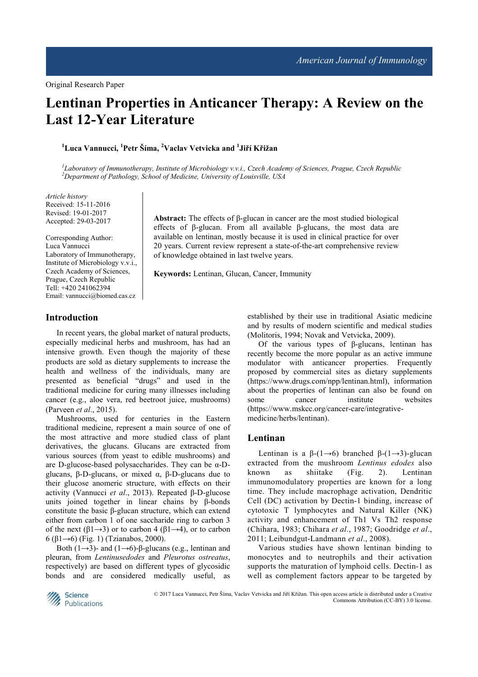# **Lentinan Properties in Anticancer Therapy: A Review on the Last 12-Year Literature**

**<sup>1</sup>Luca Vannucci, <sup>1</sup>Petr Šíma, <sup>2</sup>Vaclav Vetvicka and <sup>1</sup> Jiří Křižan** 

*1 Laboratory of Immunotherapy, Institute of Microbiology v.v.i., Czech Academy of Sciences, Prague, Czech Republic <sup>2</sup>Department of Pathology, School of Medicine, University of Louisville, USA* 

*Article history*  Received: 15-11-2016 Revised: 19-01-2017 Accepted: 29-03-2017

Corresponding Author: Luca Vannucci Laboratory of Immunotherapy, Institute of Microbiology v.v.i., Czech Academy of Sciences, Prague, Czech Republic Tell: +420 241062394 Email: vannucci@biomed.cas.cz

**Abstract:** The effects of β-glucan in cancer are the most studied biological effects of β-glucan. From all available β-glucans, the most data are available on lentinan, mostly because it is used in clinical practice for over 20 years. Current review represent a state-of-the-art comprehensive review of knowledge obtained in last twelve years.

**Keywords:** Lentinan, Glucan, Cancer, Immunity

## **Introduction**

In recent years, the global market of natural products, especially medicinal herbs and mushroom, has had an intensive growth. Even though the majority of these products are sold as dietary supplements to increase the health and wellness of the individuals, many are presented as beneficial "drugs" and used in the traditional medicine for curing many illnesses including cancer (e.g., aloe vera, red beetroot juice, mushrooms) (Parveen *et al*., 2015).

Mushrooms, used for centuries in the Eastern traditional medicine, represent a main source of one of the most attractive and more studied class of plant derivatives, the glucans. Glucans are extracted from various sources (from yeast to edible mushrooms) and are D-glucose-based polysaccharides. They can be  $\alpha$ -Dglucans, β-D-glucans, or mixed α, β-D-glucans due to their glucose anomeric structure, with effects on their activity (Vannucci *et al*., 2013). Repeated β-D-glucose units joined together in linear chains by β-bonds constitute the basic β-glucan structure, which can extend either from carbon 1 of one saccharide ring to carbon 3 of the next  $(\beta 1 \rightarrow 3)$  or to carbon 4  $(\beta 1 \rightarrow 4)$ , or to carbon 6 (β1→6) (Fig. 1) (Tzianabos, 2000).

Both (1→3)- and (1→6)-β-glucans (e.g., lentinan and pleuran, from *Lentinusedodes* and *Pleurotus ostreatus*, respectively) are based on different types of glycosidic bonds and are considered medically useful, as established by their use in traditional Asiatic medicine and by results of modern scientific and medical studies (Molitoris, 1994; Novak and Vetvicka, 2009).

Of the various types of β-glucans, lentinan has recently become the more popular as an active immune modulator with anticancer properties. Frequently proposed by commercial sites as dietary supplements (https://www.drugs.com/npp/lentinan.html), information about the properties of lentinan can also be found on some cancer institute websites (https://www.mskcc.org/cancer-care/integrativemedicine/herbs/lentinan).

## **Lentinan**

Lentinan is a  $\beta$ -(1→6) branched  $\beta$ -(1→3)-glucan extracted from the mushroom *Lentinus edodes* also known as shiitake (Fig. 2). Lentinan immunomodulatory properties are known for a long time. They include macrophage activation, Dendritic Cell (DC) activation by Dectin-1 binding, increase of cytotoxic T lymphocytes and Natural Killer (NK) activity and enhancement of Th1 Vs Th2 response (Chihara, 1983; Chihara *et al*., 1987; Goodridge *et al*., 2011; Leibundgut-Landmann *et al*., 2008).

Various studies have shown lentinan binding to monocytes and to neutrophils and their activation supports the maturation of lymphoid cells. Dectin-1 as well as complement factors appear to be targeted by



© 2017 Luca Vannucci, Petr Šíma, Vaclav Vetvicka and Jiří Křižan. This open access article is distributed under a Creative Commons Attribution (CC-BY) 3.0 license.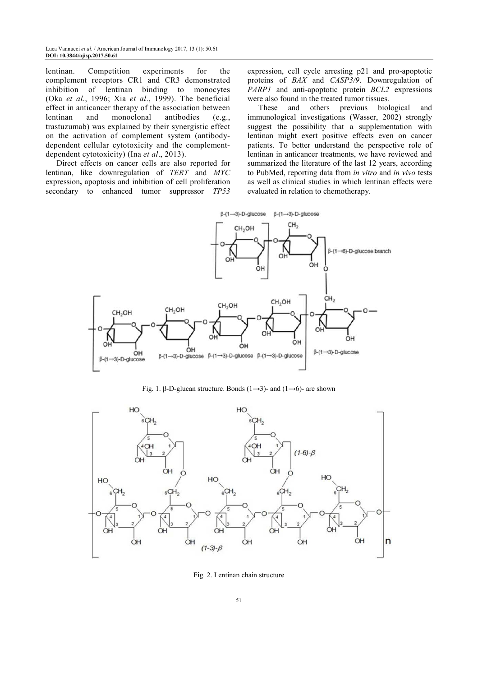lentinan. Competition experiments for the complement receptors CR1 and CR3 demonstrated inhibition of lentinan binding to monocytes (Oka *et al*., 1996; Xia *et al*., 1999). The beneficial effect in anticancer therapy of the association between lentinan and monoclonal antibodies (e.g., trastuzumab) was explained by their synergistic effect on the activation of complement system (antibodydependent cellular cytotoxicity and the complementdependent cytotoxicity) (Ina *et al*., 2013).

Direct effects on cancer cells are also reported for lentinan, like downregulation of *TERT* and *MYC*  expression**,** apoptosis and inhibition of cell proliferation secondary to enhanced tumor suppressor *TP53*  expression, cell cycle arresting p21 and pro-apoptotic proteins of *BAX* and *CASP3/9*. Downregulation of *PARP1* and anti-apoptotic protein *BCL2* expressions were also found in the treated tumor tissues.

These and others previous biological and immunological investigations (Wasser, 2002) strongly suggest the possibility that a supplementation with lentinan might exert positive effects even on cancer patients. To better understand the perspective role of lentinan in anticancer treatments, we have reviewed and summarized the literature of the last 12 years, according to PubMed, reporting data from *in vitro* and *in vivo* tests as well as clinical studies in which lentinan effects were evaluated in relation to chemotherapy.



Fig. 1. β-D-glucan structure. Bonds  $(1\rightarrow 3)$ - and  $(1\rightarrow 6)$ - are shown



Fig. 2. Lentinan chain structure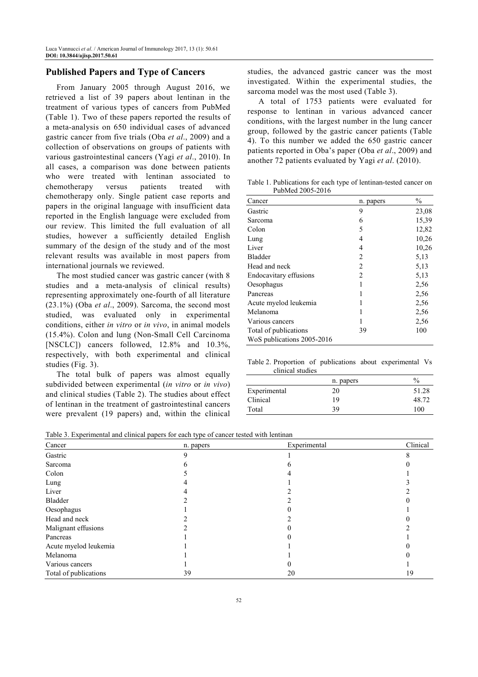## **Published Papers and Type of Cancers**

From January 2005 through August 2016, we retrieved a list of 39 papers about lentinan in the treatment of various types of cancers from PubMed (Table 1). Two of these papers reported the results of a meta-analysis on 650 individual cases of advanced gastric cancer from five trials (Oba *et al*., 2009) and a collection of observations on groups of patients with various gastrointestinal cancers (Yagi *et al*., 2010). In all cases, a comparison was done between patients who were treated with lentinan associated to chemotherapy versus patients treated with chemotherapy only. Single patient case reports and papers in the original language with insufficient data reported in the English language were excluded from our review. This limited the full evaluation of all studies, however a sufficiently detailed English summary of the design of the study and of the most relevant results was available in most papers from international journals we reviewed.

The most studied cancer was gastric cancer (with 8 studies and a meta-analysis of clinical results) representing approximately one-fourth of all literature (23.1%) (Oba *et al*., 2009). Sarcoma, the second most studied, was evaluated only in experimental conditions, either *in vitro* or *in vivo*, in animal models (15.4%). Colon and lung (Non-Small Cell Carcinoma [NSCLC]) cancers followed, 12.8% and 10.3%, respectively, with both experimental and clinical studies (Fig. 3).

The total bulk of papers was almost equally subdivided between experimental (*in vitro* or *in vivo*) and clinical studies (Table 2). The studies about effect of lentinan in the treatment of gastrointestinal cancers were prevalent (19 papers) and, within the clinical

studies, the advanced gastric cancer was the most investigated. Within the experimental studies, the sarcoma model was the most used (Table 3).

A total of 1753 patients were evaluated for response to lentinan in various advanced cancer conditions, with the largest number in the lung cancer group, followed by the gastric cancer patients (Table 4). To this number we added the 650 gastric cancer patients reported in Oba's paper (Oba *et al*., 2009) and another 72 patients evaluated by Yagi *et al*. (2010).

Table 1. Publications for each type of lentinan-tested cancer on PubMed 2005-2016

| Cancer                     | n. papers      | $\frac{0}{0}$ |
|----------------------------|----------------|---------------|
| Gastric                    | 9              | 23,08         |
| Sarcoma                    | 6              | 15,39         |
| Colon                      | 5              | 12,82         |
| Lung                       | 4              | 10,26         |
| Liver                      | 4              | 10,26         |
| Bladder                    | $\overline{c}$ | 5,13          |
| Head and neck              | $\mathfrak{D}$ | 5,13          |
| Endocavitary effusions     | 2              | 5,13          |
| Oesophagus                 |                | 2.56          |
| Pancreas                   |                | 2,56          |
| Acute myelod leukemia      |                | 2,56          |
| Melanoma                   |                | 2,56          |
| Various cancers            |                | 2,56          |
| Total of publications      | 39             | 100           |
| WoS publications 2005-2016 |                |               |

Table 2. Proportion of publications about experimental Vs clinical studies

|              | n. papers | $\%$  |
|--------------|-----------|-------|
| Experimental | 20        | 51.28 |
| Clinical     | 19        | 48.72 |
| Total        | 39        | 100   |

Table 3. Experimental and clinical papers for each type of cancer tested with lentinan

| Cancer                | n. papers | Experimental | Clinical |
|-----------------------|-----------|--------------|----------|
| Gastric               |           |              |          |
| Sarcoma               |           |              |          |
| Colon                 |           |              |          |
| Lung                  |           |              |          |
| Liver                 |           |              |          |
| Bladder               |           |              |          |
| Oesophagus            |           |              |          |
| Head and neck         |           |              |          |
| Malignant effusions   |           |              |          |
| Pancreas              |           |              |          |
| Acute myelod leukemia |           |              |          |
| Melanoma              |           |              |          |
| Various cancers       |           |              |          |
| Total of publications | 39        | 20           | 19       |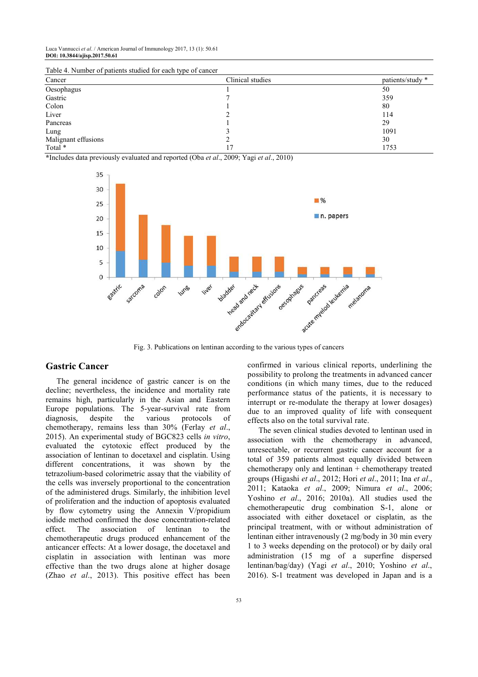Luca Vannucci *et al*. / American Journal of Immunology 2017, 13 (1): 50.61 **DOI: 10.3844/ajisp.2017.50.61** 

| Table 4. Number of patients studied for each type of cancer |                  |                  |  |  |
|-------------------------------------------------------------|------------------|------------------|--|--|
| Cancer                                                      | Clinical studies | patients/study * |  |  |
| Oesophagus                                                  |                  | 50               |  |  |
| Gastric                                                     |                  | 359              |  |  |
| Colon                                                       |                  | 80               |  |  |
| Liver                                                       |                  | 114              |  |  |
| Pancreas                                                    |                  | 29               |  |  |
| Lung                                                        |                  | 1091             |  |  |
| Malignant effusions                                         |                  | 30               |  |  |
| Total *                                                     |                  | 1753             |  |  |
|                                                             |                  |                  |  |  |

 $T$ able  $4. N$  of patients  $\beta$  patients studied for each type of cancer

**\***Includes data previously evaluated and reported (Oba *et al*., 2009; Yagi *et al*., 2010)



Fig. 3. Publications on lentinan according to the various types of cancers

## **Gastric Cancer**

The general incidence of gastric cancer is on the decline; nevertheless, the incidence and mortality rate remains high, particularly in the Asian and Eastern Europe populations. The 5-year-survival rate from diagnosis, despite the various protocols of chemotherapy, remains less than 30% (Ferlay *et al*., 2015). An experimental study of BGC823 cells *in vitro*, evaluated the cytotoxic effect produced by the association of lentinan to docetaxel and cisplatin. Using different concentrations, it was shown by the tetrazolium-based colorimetric assay that the viability of the cells was inversely proportional to the concentration of the administered drugs. Similarly, the inhibition level of proliferation and the induction of apoptosis evaluated by flow cytometry using the Annexin V/propidium iodide method confirmed the dose concentration-related effect. The association of lentinan to the chemotherapeutic drugs produced enhancement of the anticancer effects: At a lower dosage, the docetaxel and cisplatin in association with lentinan was more effective than the two drugs alone at higher dosage (Zhao *et al*., 2013). This positive effect has been

confirmed in various clinical reports, underlining the possibility to prolong the treatments in advanced cancer conditions (in which many times, due to the reduced performance status of the patients, it is necessary to interrupt or re-modulate the therapy at lower dosages) due to an improved quality of life with consequent effects also on the total survival rate.

The seven clinical studies devoted to lentinan used in association with the chemotherapy in advanced, unresectable, or recurrent gastric cancer account for a total of 359 patients almost equally divided between chemotherapy only and lentinan + chemotherapy treated groups (Higashi *et al*., 2012; Hori *et al*., 2011; Ina *et al*., 2011; Kataoka *et al*., 2009; Nimura *et al*., 2006; Yoshino *et al*., 2016; 2010a). All studies used the chemotherapeutic drug combination S-1, alone or associated with either doxetacel or cisplatin, as the principal treatment, with or without administration of lentinan either intravenously (2 mg/body in 30 min every 1 to 3 weeks depending on the protocol) or by daily oral administration (15 mg of a superfine dispersed lentinan/bag/day) (Yagi *et al*., 2010; Yoshino *et al*., 2016). S-1 treatment was developed in Japan and is a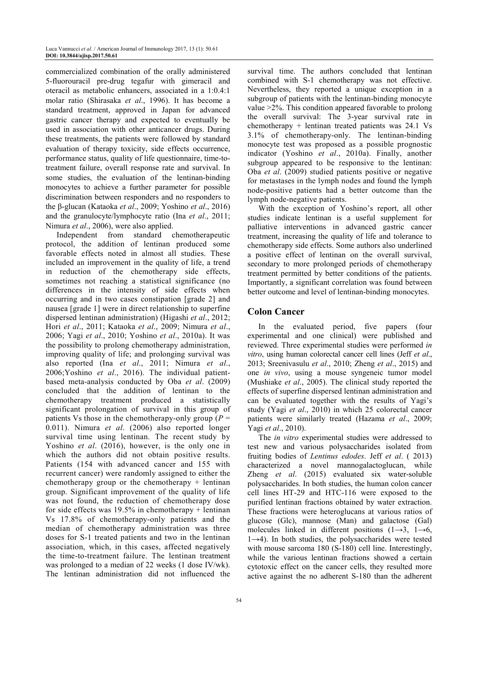commercialized combination of the orally administered 5-fluorouracil pre-drug tegafur with gimeracil and oteracil as metabolic enhancers, associated in a 1:0.4:1 molar ratio (Shirasaka *et al*., 1996). It has become a standard treatment, approved in Japan for advanced gastric cancer therapy and expected to eventually be used in association with other anticancer drugs. During these treatments, the patients were followed by standard evaluation of therapy toxicity, side effects occurrence, performance status, quality of life questionnaire, time-totreatment failure, overall response rate and survival. In some studies, the evaluation of the lentinan-binding monocytes to achieve a further parameter for possible discrimination between responders and no responders to the β-glucan (Kataoka *et al*., 2009; Yoshino *et al*., 2016) and the granulocyte/lymphocyte ratio (Ina *et al*., 2011; Nimura *et al.*, 2006), were also applied.

Independent from standard chemotherapeutic protocol, the addition of lentinan produced some favorable effects noted in almost all studies. These included an improvement in the quality of life, a trend in reduction of the chemotherapy side effects, sometimes not reaching a statistical significance (no differences in the intensity of side effects when occurring and in two cases constipation [grade 2] and nausea [grade 1] were in direct relationship to superfine dispersed lentinan administration) (Higashi *et al*., 2012; Hori *et al*., 2011; Kataoka *et al*., 2009; Nimura *et al*., 2006; Yagi *et al*., 2010; Yoshino *et al*., 2010a). It was the possibility to prolong chemotherapy administration, improving quality of life; and prolonging survival was also reported (Ina *et al*., 2011; Nimura *et al*., 2006;Yoshino *et al*., 2016). The individual patientbased meta-analysis conducted by Oba *et al*. (2009) concluded that the addition of lentinan to the chemotherapy treatment produced a statistically significant prolongation of survival in this group of patients Vs those in the chemotherapy-only group  $(P =$ 0.011). Nimura *et al*. (2006) also reported longer survival time using lentinan. The recent study by Yoshino *et al*. (2016), however, is the only one in which the authors did not obtain positive results. Patients (154 with advanced cancer and 155 with recurrent cancer) were randomly assigned to either the chemotherapy group or the chemotherapy  $+$  lentinan group. Significant improvement of the quality of life was not found, the reduction of chemotherapy dose for side effects was  $19.5\%$  in chemotherapy + lentinan Vs 17.8% of chemotherapy-only patients and the median of chemotherapy administration was three doses for S-1 treated patients and two in the lentinan association, which, in this cases, affected negatively the time-to-treatment failure. The lentinan treatment was prolonged to a median of 22 weeks (1 dose IV/wk). The lentinan administration did not influenced the

survival time. The authors concluded that lentinan combined with S-1 chemotherapy was not effective. Nevertheless, they reported a unique exception in a subgroup of patients with the lentinan-binding monocyte value >2%. This condition appeared favorable to prolong the overall survival: The 3-year survival rate in chemotherapy + lentinan treated patients was 24.1 Vs 3.1% of chemotherapy-only. The lentinan-binding monocyte test was proposed as a possible prognostic indicator (Yoshino *et al*., 2010a). Finally, another subgroup appeared to be responsive to the lentinan: Oba *et al*. (2009) studied patients positive or negative for metastases in the lymph nodes and found the lymph node-positive patients had a better outcome than the lymph node-negative patients.

With the exception of Yoshino's report, all other studies indicate lentinan is a useful supplement for palliative interventions in advanced gastric cancer treatment, increasing the quality of life and tolerance to chemotherapy side effects. Some authors also underlined a positive effect of lentinan on the overall survival, secondary to more prolonged periods of chemotherapy treatment permitted by better conditions of the patients. Importantly, a significant correlation was found between better outcome and level of lentinan-binding monocytes.

## **Colon Cancer**

In the evaluated period, five papers (four experimental and one clinical) were published and reviewed. Three experimental studies were performed *in vitro*, using human colorectal cancer cell lines (Jeff *et al*., 2013; Sreenivasulu *et al*., 2010; Zheng *et al*., 2015) and one *in vivo*, using a mouse syngeneic tumor model (Mushiake *et al*., 2005). The clinical study reported the effects of superfine dispersed lentinan administration and can be evaluated together with the results of Yagi's study (Yagi *et al*., 2010) in which 25 colorectal cancer patients were similarly treated (Hazama *et al*., 2009; Yagi *et al*., 2010).

The *in vitro* experimental studies were addressed to test new and various polysaccharides isolated from fruiting bodies of *Lentinus edodes*. Jeff *et al*. ( 2013) characterized a novel mannogalactoglucan, while Zheng *et al*. (2015) evaluated six water-soluble polysaccharides. In both studies, the human colon cancer cell lines HT-29 and HTC-116 were exposed to the purified lentinan fractions obtained by water extraction. These fractions were heteroglucans at various ratios of glucose (Glc), mannose (Man) and galactose (Gal) molecules linked in different positions  $(1\rightarrow 3, 1\rightarrow 6,$  $1\rightarrow 4$ ). In both studies, the polysaccharides were tested with mouse sarcoma 180 (S-180) cell line. Interestingly, while the various lentinan fractions showed a certain cytotoxic effect on the cancer cells, they resulted more active against the no adherent S-180 than the adherent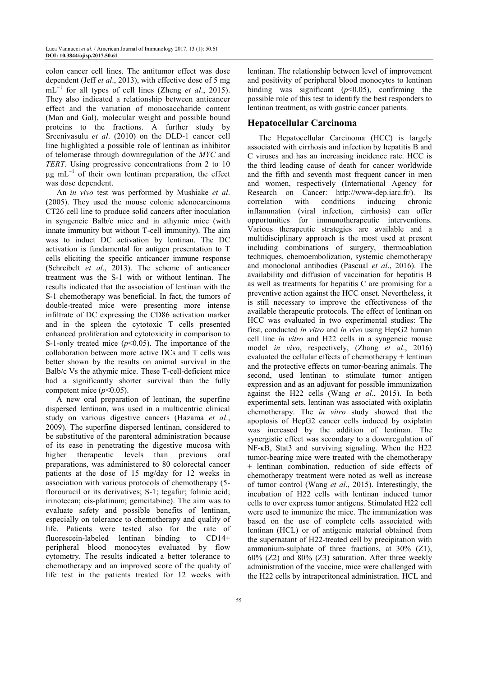colon cancer cell lines. The antitumor effect was dose dependent (Jeff *et al*., 2013), with effective dose of 5 mg mL<sup>−</sup><sup>1</sup> for all types of cell lines (Zheng *et al*., 2015). They also indicated a relationship between anticancer effect and the variation of monosaccharide content (Man and Gal), molecular weight and possible bound proteins to the fractions. A further study by Sreenivasulu *et al*. (2010) on the DLD-1 cancer cell line highlighted a possible role of lentinan as inhibitor of telomerase through downregulation of the *MYC* and *TERT*. Using progressive concentrations from 2 to 10 µg mL<sup>-1</sup> of their own lentinan preparation, the effect was dose dependent.

An *in vivo* test was performed by Mushiake *et al*. (2005). They used the mouse colonic adenocarcinoma CT26 cell line to produce solid cancers after inoculation in syngeneic Balb/c mice and in athymic mice (with innate immunity but without T-cell immunity). The aim was to induct DC activation by lentinan. The DC activation is fundamental for antigen presentation to T cells eliciting the specific anticancer immune response (Schreibelt *et al*., 2013). The scheme of anticancer treatment was the S-1 with or without lentinan. The results indicated that the association of lentinan with the S-1 chemotherapy was beneficial. In fact, the tumors of double-treated mice were presenting more intense infiltrate of DC expressing the CD86 activation marker and in the spleen the cytotoxic T cells presented enhanced proliferation and cytotoxicity in comparison to S-1-only treated mice  $(p<0.05)$ . The importance of the collaboration between more active DCs and T cells was better shown by the results on animal survival in the Balb/c Vs the athymic mice. These T-cell-deficient mice had a significantly shorter survival than the fully competent mice  $(p<0.05)$ .

A new oral preparation of lentinan, the superfine dispersed lentinan, was used in a multicentric clinical study on various digestive cancers (Hazama *et al*., 2009). The superfine dispersed lentinan, considered to be substitutive of the parenteral administration because of its ease in penetrating the digestive mucosa with higher therapeutic levels than previous oral preparations, was administered to 80 colorectal cancer patients at the dose of 15 mg/day for 12 weeks in association with various protocols of chemotherapy (5 florouracil or its derivatives; S-1; tegafur; folinic acid; irinotecan; cis-platinum; gemcitabine). The aim was to evaluate safety and possible benefits of lentinan, especially on tolerance to chemotherapy and quality of life. Patients were tested also for the rate of fluorescein-labeled lentinan binding to CD14+ peripheral blood monocytes evaluated by flow cytometry. The results indicated a better tolerance to chemotherapy and an improved score of the quality of life test in the patients treated for 12 weeks with lentinan. The relationship between level of improvement and positivity of peripheral blood monocytes to lentinan binding was significant (*p*<0.05), confirming the possible role of this test to identify the best responders to lentinan treatment, as with gastric cancer patients.

## **Hepatocellular Carcinoma**

The Hepatocellular Carcinoma (HCC) is largely associated with cirrhosis and infection by hepatitis B and C viruses and has an increasing incidence rate. HCC is the third leading cause of death for cancer worldwide and the fifth and seventh most frequent cancer in men and women, respectively (International Agency for Research on Cancer: http://www-dep.iarc.fr/). Its correlation with conditions inducing chronic inflammation (viral infection, cirrhosis) can offer opportunities for immunotherapeutic interventions. Various therapeutic strategies are available and a multidisciplinary approach is the most used at present including combinations of surgery, thermoablation techniques, chemoembolization, systemic chemotherapy and monoclonal antibodies (Pascual *et al*., 2016). The availability and diffusion of vaccination for hepatitis B as well as treatments for hepatitis C are promising for a preventive action against the HCC onset. Nevertheless, it is still necessary to improve the effectiveness of the available therapeutic protocols. The effect of lentinan on HCC was evaluated in two experimental studies: The first, conducted *in vitro* and *in vivo* using HepG2 human cell line *in vitro* and H22 cells in a syngeneic mouse model *in vivo*, respectively, (Zhang *et al*., 2016) evaluated the cellular effects of chemotherapy + lentinan and the protective effects on tumor-bearing animals. The second, used lentinan to stimulate tumor antigen expression and as an adjuvant for possible immunization against the H22 cells (Wang *et al*., 2015). In both experimental sets, lentinan was associated with oxiplatin chemotherapy. The *in vitro* study showed that the apoptosis of HepG2 cancer cells induced by oxiplatin was increased by the addition of lentinan. The synergistic effect was secondary to a downregulation of NF-κB, Stat3 and surviving signaling. When the H22 tumor-bearing mice were treated with the chemotherapy + lentinan combination, reduction of side effects of chemotherapy treatment were noted as well as increase of tumor control (Wang *et al*., 2015). Interestingly, the incubation of H22 cells with lentinan induced tumor cells to over express tumor antigens. Stimulated H22 cell were used to immunize the mice. The immunization was based on the use of complete cells associated with lentinan (HCL) or of antigenic material obtained from the supernatant of H22-treated cell by precipitation with ammonium-sulphate of three fractions, at 30% (Z1), 60% (Z2) and 80% (Z3) saturation. After three weekly administration of the vaccine, mice were challenged with the H22 cells by intraperitoneal administration. HCL and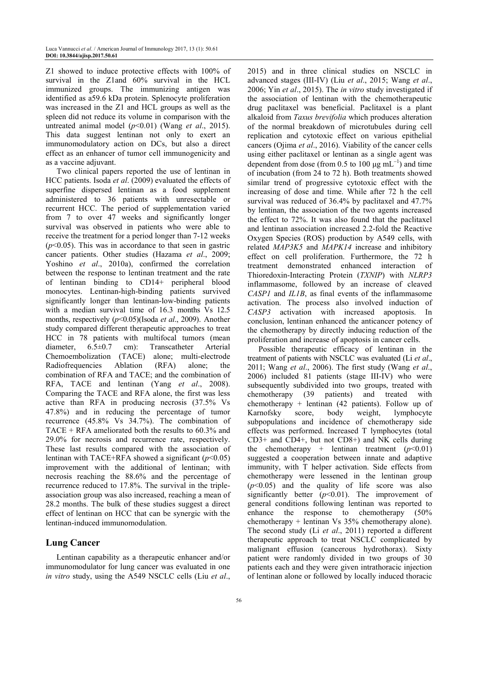Z1 showed to induce protective effects with 100% of survival in the Z1and 60% survival in the HCL immunized groups. The immunizing antigen was identified as a59.6 kDa protein. Splenocyte proliferation was increased in the Z1 and HCL groups as well as the spleen did not reduce its volume in comparison with the untreated animal model (*p*<0.01) (Wang *et al*., 2015). This data suggest lentinan not only to exert an immunomodulatory action on DCs, but also a direct effect as an enhancer of tumor cell immunogenicity and as a vaccine adjuvant.

Two clinical papers reported the use of lentinan in HCC patients. Isoda *et al*. (2009) evaluated the effects of superfine dispersed lentinan as a food supplement administered to 36 patients with unresectable or recurrent HCC. The period of supplementation varied from 7 to over 47 weeks and significantly longer survival was observed in patients who were able to receive the treatment for a period longer than 7-12 weeks  $(p<0.05)$ . This was in accordance to that seen in gastric cancer patients. Other studies (Hazama *et al*., 2009; Yoshino *et al*., 2010a), confirmed the correlation between the response to lentinan treatment and the rate of lentinan binding to CD14+ peripheral blood monocytes. Lentinan-high-binding patients survived significantly longer than lentinan-low-binding patients with a median survival time of 16.3 months Vs 12.5 months, respectively (*p*<0.05)(Isoda *et al*., 2009). Another study compared different therapeutic approaches to treat HCC in 78 patients with multifocal tumors (mean diameter, 6.5±0.7 cm): Transcatheter Arterial Chemoembolization (TACE) alone; multi-electrode Radiofrequencies Ablation (RFA) alone; the combination of RFA and TACE; and the combination of RFA, TACE and lentinan (Yang *et al*., 2008). Comparing the TACE and RFA alone, the first was less active than RFA in producing necrosis (37.5% Vs 47.8%) and in reducing the percentage of tumor recurrence (45.8% Vs 34.7%). The combination of  $TACE + RFA$  ameliorated both the results to 60.3% and 29.0% for necrosis and recurrence rate, respectively. These last results compared with the association of lentinan with TACE+RFA showed a significant  $(p<0.05)$ improvement with the additional of lentinan; with necrosis reaching the 88.6% and the percentage of recurrence reduced to 17.8%. The survival in the tripleassociation group was also increased, reaching a mean of 28.2 months. The bulk of these studies suggest a direct effect of lentinan on HCC that can be synergic with the lentinan-induced immunomodulation.

## **Lung Cancer**

Lentinan capability as a therapeutic enhancer and/or immunomodulator for lung cancer was evaluated in one *in vitro* study, using the A549 NSCLC cells (Liu *et al*., 2015) and in three clinical studies on NSCLC in advanced stages (III-IV) (Liu *et al*., 2015; Wang *et al*., 2006; Yin *et al*., 2015). The *in vitro* study investigated if the association of lentinan with the chemotherapeutic drug paclitaxel was beneficial. Paclitaxel is a plant alkaloid from *Taxus brevifolia* which produces alteration of the normal breakdown of microtubules during cell replication and cytotoxic effect on various epithelial cancers (Ojima *et al*., 2016). Viability of the cancer cells using either paclitaxel or lentinan as a single agent was dependent from dose (from 0.5 to 100  $\mu$ g mL<sup>-1</sup>) and time of incubation (from 24 to 72 h). Both treatments showed similar trend of progressive cytotoxic effect with the increasing of dose and time. While after 72 h the cell survival was reduced of 36.4% by paclitaxel and 47.7% by lentinan, the association of the two agents increased the effect to 72%. It was also found that the paclitaxel and lentinan association increased 2.2-fold the Reactive Oxygen Species (ROS) production by A549 cells, with related *MAP3K5* and *MAPK14* increase and inhibitory effect on cell proliferation. Furthermore, the 72 h treatment demonstrated enhanced interaction of Thioredoxin-Interacting Protein (*TXNIP*) with *NLRP3*  inflammasome, followed by an increase of cleaved *CASP1* and *IL1B*, as final events of the inflammasome activation. The process also involved induction of *CASP3* activation with increased apoptosis. In conclusion, lentinan enhanced the anticancer potency of the chemotherapy by directly inducing reduction of the proliferation and increase of apoptosis in cancer cells.

Possible therapeutic efficacy of lentinan in the treatment of patients with NSCLC was evaluated (Li *et al*., 2011; Wang *et al*., 2006). The first study (Wang *et al*., 2006) included 81 patients (stage III-IV) who were subsequently subdivided into two groups, treated with chemotherapy (39 patients) and treated with chemotherapy + lentinan  $(42 \text{ patients})$ . Follow up of Karnofsky score, body weight, lymphocyte subpopulations and incidence of chemotherapy side effects was performed. Increased T lymphocytes (total CD3+ and CD4+, but not CD8+) and NK cells during the chemotherapy + lentinan treatment  $(p<0.01)$ suggested a cooperation between innate and adaptive immunity, with T helper activation. Side effects from chemotherapy were lessened in the lentinan group  $(p<0.05)$  and the quality of life score was also significantly better  $(p<0.01)$ . The improvement of general conditions following lentinan was reported to enhance the response to chemotherapy (50% chemotherapy + lentinan Vs 35% chemotherapy alone). The second study (Li *et al*., 2011) reported a different therapeutic approach to treat NSCLC complicated by malignant effusion (cancerous hydrothorax). Sixty patient were randomly divided in two groups of 30 patients each and they were given intrathoracic injection of lentinan alone or followed by locally induced thoracic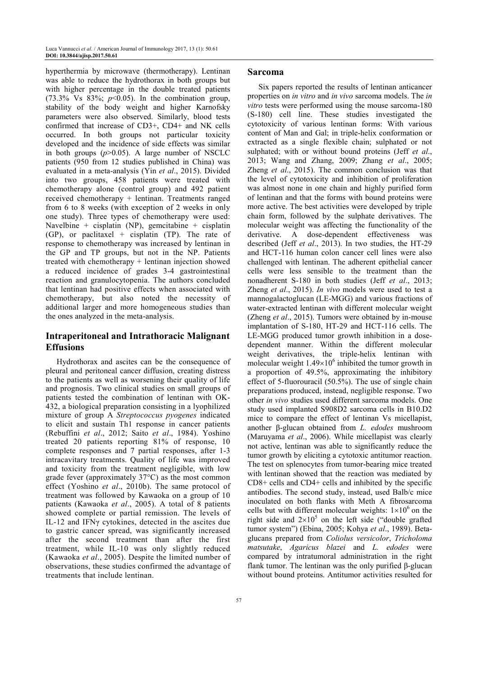hyperthermia by microwave (thermotherapy). Lentinan was able to reduce the hydrothorax in both groups but with higher percentage in the double treated patients (73.3% Vs 83%;  $p<0.05$ ). In the combination group, stability of the body weight and higher Karnofsky parameters were also observed. Similarly, blood tests confirmed that increase of CD3+, CD4+ and NK cells occurred. In both groups not particular toxicity developed and the incidence of side effects was similar in both groups  $(p>0.05)$ . A large number of NSCLC patients (950 from 12 studies published in China) was evaluated in a meta-analysis (Yin *et al*., 2015). Divided into two groups, 458 patients were treated with chemotherapy alone (control group) and 492 patient received chemotherapy + lentinan. Treatments ranged from 6 to 8 weeks (with exception of 2 weeks in only one study). Three types of chemotherapy were used: Navelbine + cisplatin (NP), gemcitabine + cisplatin  $(GP)$ , or paclitaxel + cisplatin  $(TP)$ . The rate of response to chemotherapy was increased by lentinan in the GP and TP groups, but not in the NP. Patients treated with chemotherapy + lentinan injection showed a reduced incidence of grades 3-4 gastrointestinal reaction and granulocytopenia. The authors concluded that lentinan had positive effects when associated with chemotherapy, but also noted the necessity of additional larger and more homogeneous studies than the ones analyzed in the meta-analysis.

## **Intraperitoneal and Intrathoracic Malignant Effusions**

Hydrothorax and ascites can be the consequence of pleural and peritoneal cancer diffusion, creating distress to the patients as well as worsening their quality of life and prognosis. Two clinical studies on small groups of patients tested the combination of lentinan with OK-432, a biological preparation consisting in a lyophilized mixture of group A *Streptococcus pyogenes* indicated to elicit and sustain Th1 response in cancer patients (Rebuffini *et al*., 2012; Saito *et al*., 1984). Yoshino treated 20 patients reporting 81% of response, 10 complete responses and 7 partial responses, after 1-3 intracavitary treatments. Quality of life was improved and toxicity from the treatment negligible, with low grade fever (approximately 37°C) as the most common effect (Yoshino *et al*., 2010b). The same protocol of treatment was followed by Kawaoka on a group of 10 patients (Kawaoka *et al*., 2005). A total of 8 patients showed complete or partial remission. The levels of IL-12 and IFNγ cytokines, detected in the ascites due to gastric cancer spread, was significantly increased after the second treatment than after the first treatment, while IL-10 was only slightly reduced (Kawaoka *et al*., 2005). Despite the limited number of observations, these studies confirmed the advantage of treatments that include lentinan.

#### **Sarcoma**

Six papers reported the results of lentinan anticancer properties on *in vitro* and *in vivo* sarcoma models. The *in vitro* tests were performed using the mouse sarcoma-180 (S-180) cell line. These studies investigated the cytotoxicity of various lentinan forms: With various content of Man and Gal; in triple-helix conformation or extracted as a single flexible chain; sulphated or not sulphated; with or without bound proteins (Jeff *et al*., 2013; Wang and Zhang, 2009; Zhang *et al*., 2005; Zheng *et al*., 2015). The common conclusion was that the level of cytotoxicity and inhibition of proliferation was almost none in one chain and highly purified form of lentinan and that the forms with bound proteins were more active. The best activities were developed by triple chain form, followed by the sulphate derivatives. The molecular weight was affecting the functionality of the derivative. A dose-dependent effectiveness was described (Jeff *et al*., 2013). In two studies, the HT-29 and HCT-116 human colon cancer cell lines were also challenged with lentinan. The adherent epithelial cancer cells were less sensible to the treatment than the nonadherent S-180 in both studies (Jeff *et al*., 2013; Zheng *et al*., 2015). *In vivo* models were used to test a mannogalactoglucan (LE-MGG) and various fractions of water-extracted lentinan with different molecular weight (Zheng *et al*., 2015). Tumors were obtained by in-mouse implantation of S-180, HT-29 and HCT-116 cells. The LE-MGG produced tumor growth inhibition in a dosedependent manner. Within the different molecular weight derivatives, the triple-helix lentinan with molecular weight  $1.49 \times 10^6$  inhibited the tumor growth in a proportion of 49.5%, approximating the inhibitory effect of 5-fluorouracil (50.5%). The use of single chain preparations produced, instead, negligible response. Two other *in vivo* studies used different sarcoma models. One study used implanted S908D2 sarcoma cells in B10.D2 mice to compare the effect of lentinan Vs micellapist, another β-glucan obtained from *L. edodes* mushroom (Maruyama *et al*., 2006). While micellapist was clearly not active, lentinan was able to significantly reduce the tumor growth by eliciting a cytotoxic antitumor reaction. The test on splenocytes from tumor-bearing mice treated with lentinan showed that the reaction was mediated by CD8+ cells and CD4+ cells and inhibited by the specific antibodies. The second study, instead, used Balb/c mice inoculated on both flanks with Meth A fibrosarcoma cells but with different molecular weights:  $1\times10^6$  on the right side and  $2\times10^5$  on the left side ("double grafted tumor system") (Ebina, 2005; Kohya *et al*., 1989). Betaglucans prepared from *Coliolus versicolor*, *Tricholoma matsutake*, *Agaricus blazei* and *L. edodes* were compared by intratumoral administration in the right flank tumor. The lentinan was the only purified β-glucan without bound proteins. Antitumor activities resulted for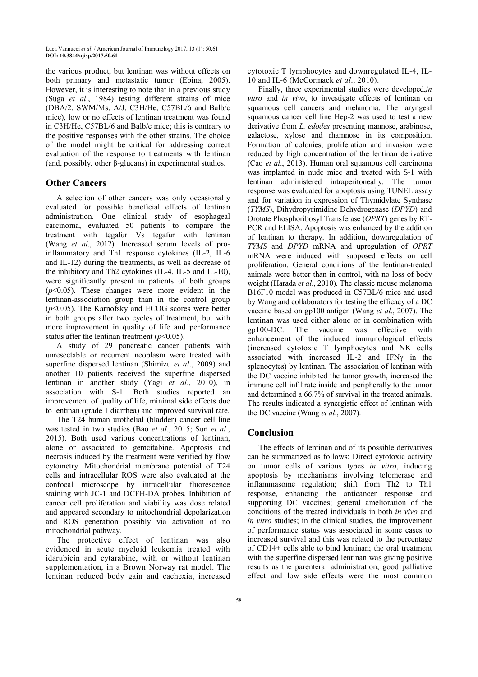the various product, but lentinan was without effects on both primary and metastatic tumor (Ebina, 2005). However, it is interesting to note that in a previous study (Suga *et al*., 1984) testing different strains of mice (DBA/2, SWM/Ms, A/J, C3H/He, C57BL/6 and Balb/c mice), low or no effects of lentinan treatment was found in C3H/He, C57BL/6 and Balb/c mice; this is contrary to the positive responses with the other strains. The choice of the model might be critical for addressing correct evaluation of the response to treatments with lentinan (and, possibly, other β-glucans) in experimental studies.

## **Other Cancers**

A selection of other cancers was only occasionally evaluated for possible beneficial effects of lentinan administration. One clinical study of esophageal carcinoma, evaluated 50 patients to compare the treatment with tegafur Vs tegafur with lentinan (Wang *et al*., 2012). Increased serum levels of proinflammatory and Th1 response cytokines (IL-2, IL-6 and IL-12) during the treatments, as well as decrease of the inhibitory and Th2 cytokines (IL-4, IL-5 and IL-10), were significantly present in patients of both groups (*p*<0.05). These changes were more evident in the lentinan-association group than in the control group (*p*<0.05). The Karnofsky and ECOG scores were better in both groups after two cycles of treatment, but with more improvement in quality of life and performance status after the lentinan treatment  $(p<0.05)$ .

A study of 29 pancreatic cancer patients with unresectable or recurrent neoplasm were treated with superfine dispersed lentinan (Shimizu *et al*., 2009) and another 10 patients received the superfine dispersed lentinan in another study (Yagi *et al*., 2010), in association with S-1. Both studies reported an improvement of quality of life, minimal side effects due to lentinan (grade 1 diarrhea) and improved survival rate.

The T24 human urothelial (bladder) cancer cell line was tested in two studies (Bao *et al*., 2015; Sun *et al*., 2015). Both used various concentrations of lentinan, alone or associated to gemcitabine. Apoptosis and necrosis induced by the treatment were verified by flow cytometry. Mitochondrial membrane potential of T24 cells and intracellular ROS were also evaluated at the confocal microscope by intracellular fluorescence staining with JC-1 and DCFH-DA probes. Inhibition of cancer cell proliferation and viability was dose related and appeared secondary to mitochondrial depolarization and ROS generation possibly via activation of no mitochondrial pathway.

The protective effect of lentinan was also evidenced in acute myeloid leukemia treated with idarubicin and cytarabine, with or without lentinan supplementation, in a Brown Norway rat model. The lentinan reduced body gain and cachexia, increased cytotoxic T lymphocytes and downregulated IL-4, IL-10 and IL-6 (McCormack *et al*., 2010).

Finally, three experimental studies were developed,*in vitro* and *in vivo*, to investigate effects of lentinan on squamous cell cancers and melanoma. The laryngeal squamous cancer cell line Hep-2 was used to test a new derivative from *L. edodes* presenting mannose, arabinose, galactose, xylose and rhamnose in its composition. Formation of colonies, proliferation and invasion were reduced by high concentration of the lentinan derivative (Cao *et al*., 2013). Human oral squamous cell carcinoma was implanted in nude mice and treated with S-1 with lentinan administered intraperitoneally. The tumor response was evaluated for apoptosis using TUNEL assay and for variation in expression of Thymidylate Synthase (*TYMS*), Dihydropyrimidine Dehydrogenase (*DPYD*) and Orotate Phosphoribosyl Transferase (*OPRT*) genes by RT-PCR and ELISA. Apoptosis was enhanced by the addition of lentinan to therapy. In addition, downregulation of *TYMS* and *DPYD* mRNA and upregulation of *OPRT* mRNA were induced with supposed effects on cell proliferation. General conditions of the lentinan-treated animals were better than in control, with no loss of body weight (Harada *et al*., 2010). The classic mouse melanoma B16F10 model was produced in C57BL/6 mice and used by Wang and collaborators for testing the efficacy of a DC vaccine based on gp100 antigen (Wang *et al*., 2007). The lentinan was used either alone or in combination with gp100-DC. The vaccine was effective with enhancement of the induced immunological effects (increased cytotoxic T lymphocytes and NK cells associated with increased IL-2 and IFNγ in the splenocytes) by lentinan. The association of lentinan with the DC vaccine inhibited the tumor growth, increased the immune cell infiltrate inside and peripherally to the tumor and determined a 66.7% of survival in the treated animals. The results indicated a synergistic effect of lentinan with the DC vaccine (Wang *et al*., 2007).

## **Conclusion**

The effects of lentinan and of its possible derivatives can be summarized as follows: Direct cytotoxic activity on tumor cells of various types *in vitro*, inducing apoptosis by mechanisms involving telomerase and inflammasome regulation; shift from Th2 to Th1 response, enhancing the anticancer response and supporting DC vaccines; general amelioration of the conditions of the treated individuals in both *in vivo* and *in vitro* studies; in the clinical studies, the improvement of performance status was associated in some cases to increased survival and this was related to the percentage of CD14+ cells able to bind lentinan; the oral treatment with the superfine dispersed lentinan was giving positive results as the parenteral administration; good palliative effect and low side effects were the most common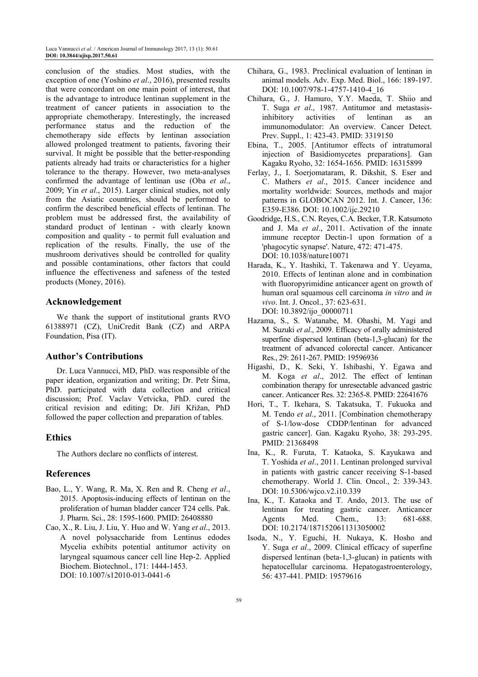conclusion of the studies. Most studies, with the exception of one (Yoshino *et al*., 2016), presented results that were concordant on one main point of interest, that is the advantage to introduce lentinan supplement in the treatment of cancer patients in association to the appropriate chemotherapy. Interestingly, the increased performance status and the reduction of the chemotherapy side effects by lentinan association allowed prolonged treatment to patients, favoring their survival. It might be possible that the better-responding patients already had traits or characteristics for a higher tolerance to the therapy. However, two meta-analyses confirmed the advantage of lentinan use (Oba *et al*., 2009; Yin *et al*., 2015). Larger clinical studies, not only from the Asiatic countries, should be performed to confirm the described beneficial effects of lentinan. The problem must be addressed first, the availability of standard product of lentinan - with clearly known composition and quality - to permit full evaluation and replication of the results. Finally, the use of the mushroom derivatives should be controlled for quality and possible contaminations, other factors that could influence the effectiveness and safeness of the tested products (Money, 2016).

## **Acknowledgement**

We thank the support of institutional grants RVO 61388971 (CZ), UniCredit Bank (CZ) and ARPA Foundation, Pisa (IT).

## **Author's Contributions**

Dr. Luca Vannucci, MD, PhD. was responsible of the paper ideation, organization and writing; Dr. Petr Šíma, PhD. participated with data collection and critical discussion; Prof. Vaclav Vetvicka, PhD. cured the critical revision and editing; Dr. Jiří Křižan, PhD followed the paper collection and preparation of tables.

## **Ethics**

The Authors declare no conflicts of interest.

## **References**

- Bao, L., Y. Wang, R. Ma, X. Ren and R. Cheng *et al*., 2015. Apoptosis-inducing effects of lentinan on the proliferation of human bladder cancer T24 cells. Pak. J. Pharm. Sci., 28: 1595-1600. PMID: 26408880
- Cao, X., R. Liu, J. Liu, Y. Huo and W. Yang *et al*., 2013. A novel polysaccharide from Lentinus edodes Mycelia exhibits potential antitumor activity on laryngeal squamous cancer cell line Hep-2. Applied Biochem. Biotechnol., 171: 1444-1453. DOI: 10.1007/s12010-013-0441-6
- Chihara, G., 1983. Preclinical evaluation of lentinan in animal models. Adv. Exp. Med. Biol., 166: 189-197. DOI: 10.1007/978-1-4757-1410-4\_16
- Chihara, G., J. Hamuro, Y.Y. Maeda, T. Shiio and T. Suga *et al*., 1987. Antitumor and metastasisinhibitory activities of lentinan as an immunomodulator: An overview. Cancer Detect. Prev. Suppl., 1: 423-43. PMID: 3319150
- Ebina, T., 2005. [Antitumor effects of intratumoral injection of Basidiomycetes preparations]. Gan Kagaku Ryoho, 32: 1654-1656. PMID: 16315899
- Ferlay, J., I. Soerjomataram, R. Dikshit, S. Eser and C. Mathers *et al*., 2015. Cancer incidence and mortality worldwide: Sources, methods and major patterns in GLOBOCAN 2012. Int. J. Cancer, 136: E359-E386. DOI: 10.1002/ijc.29210
- Goodridge, H.S., C.N. Reyes, C.A. Becker, T.R. Katsumoto and J. Ma *et al*., 2011. Activation of the innate immune receptor Dectin-1 upon formation of a 'phagocytic synapse'. Nature, 472: 471-475. DOI: 10.1038/nature10071
- Harada, K., Y. Itashiki, T. Takenawa and Y. Ueyama, 2010. Effects of lentinan alone and in combination with fluoropyrimidine anticancer agent on growth of human oral squamous cell carcinoma *in vitro* and *in vivo*. Int. J. Oncol., 37: 623-631. DOI: 10.3892/ijo\_00000711
- Hazama, S., S. Watanabe, M. Ohashi, M. Yagi and M. Suzuki *et al*., 2009. Efficacy of orally administered superfine dispersed lentinan (beta-1,3-glucan) for the treatment of advanced colorectal cancer. Anticancer Res., 29: 2611-267. PMID: 19596936
- Higashi, D., K. Seki, Y. Ishibashi, Y. Egawa and M. Koga *et al*., 2012. The effect of lentinan combination therapy for unresectable advanced gastric cancer. Anticancer Res. 32: 2365-8. PMID: 22641676
- Hori, T., T. Ikehara, S. Takatsuka, T. Fukuoka and M. Tendo *et al*., 2011. [Combination chemotherapy of S-1/low-dose CDDP/lentinan for advanced gastric cancer]. Gan. Kagaku Ryoho, 38: 293-295. PMID: 21368498
- Ina, K., R. Furuta, T. Kataoka, S. Kayukawa and T. Yoshida *et al*., 2011. Lentinan prolonged survival in patients with gastric cancer receiving S-1-based chemotherapy. World J. Clin. Oncol., 2: 339-343. DOI: 10.5306/wjco.v2.i10.339
- Ina, K., T. Kataoka and T. Ando, 2013. The use of lentinan for treating gastric cancer. Anticancer Agents Med. Chem., 13: 681-688. DOI: 10.2174/1871520611313050002
- Isoda, N., Y. Eguchi, H. Nukaya, K. Hosho and Y. Suga *et al*., 2009. Clinical efficacy of superfine dispersed lentinan (beta-1,3-glucan) in patients with hepatocellular carcinoma. Hepatogastroenterology, 56: 437-441. PMID: 19579616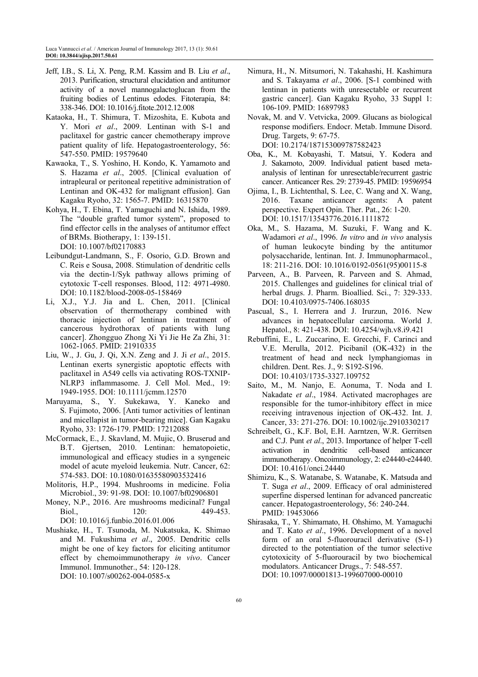- Jeff, I.B., S. Li, X. Peng, R.M. Kassim and B. Liu *et al*., 2013. Purification, structural elucidation and antitumor activity of a novel mannogalactoglucan from the fruiting bodies of Lentinus edodes. Fitoterapia, 84: 338-346. DOI: 10.1016/j.fitote.2012.12.008
- Kataoka, H., T. Shimura, T. Mizoshita, E. Kubota and Y. Mori *et al*., 2009. Lentinan with S-1 and paclitaxel for gastric cancer chemotherapy improve patient quality of life. Hepatogastroenterology, 56: 547-550. PMID: 19579640
- Kawaoka, T., S. Yoshino, H. Kondo, K. Yamamoto and S. Hazama *et al*., 2005. [Clinical evaluation of intrapleural or peritoneal repetitive administration of Lentinan and OK-432 for malignant effusion]. Gan Kagaku Ryoho, 32: 1565-7. PMID: 16315870
- Kohya, H., T. Ebina, T. Yamaguchi and N. Ishida, 1989. The "double grafted tumor system", proposed to find effector cells in the analyses of antitumor effect of BRMs. Biotherapy, 1: 139-151. DOI: 10.1007/bf02170883
- Leibundgut-Landmann, S., F. Osorio, G.D. Brown and C. Reis e Sousa, 2008. Stimulation of dendritic cells via the dectin-1/Syk pathway allows priming of cytotoxic T-cell responses. Blood, 112: 4971-4980. DOI: 10.1182/blood-2008-05-158469
- Li, X.J., Y.J. Jia and L. Chen, 2011. [Clinical observation of thermotherapy combined with thoracic injection of lentinan in treatment of cancerous hydrothorax of patients with lung cancer]. Zhongguo Zhong Xi Yi Jie He Za Zhi, 31: 1062-1065. PMID: 21910335
- Liu, W., J. Gu, J. Qi, X.N. Zeng and J. Ji *et al*., 2015. Lentinan exerts synergistic apoptotic effects with paclitaxel in A549 cells via activating ROS-TXNIP-NLRP3 inflammasome. J. Cell Mol. Med., 19: 1949-1955. DOI: 10.1111/jcmm.12570
- Maruyama, S., Y. Sukekawa, Y. Kaneko and S. Fujimoto, 2006. [Anti tumor activities of lentinan and micellapist in tumor-bearing mice]. Gan Kagaku Ryoho, 33: 1726-179. PMID: 17212088
- McCormack, E., J. Skavland, M. Mujic, O. Bruserud and B.T. Gjertsen, 2010. Lentinan: hematopoietic, immunological and efficacy studies in a syngeneic model of acute myeloid leukemia. Nutr. Cancer, 62: 574-583. DOI: 10.1080/01635580903532416
- Molitoris, H.P., 1994. Mushrooms in medicine. Folia Microbiol., 39: 91-98. DOI: 10.1007/bf02906801
- Money, N.P., 2016. Are mushrooms medicinal? Fungal Biol., 120: 449-453. DOI: 10.1016/j.funbio.2016.01.006
- Mushiake, H., T. Tsunoda, M. Nukatsuka, K. Shimao and M. Fukushima *et al*., 2005. Dendritic cells might be one of key factors for eliciting antitumor effect by chemoimmunotherapy *in vivo*. Cancer Immunol. Immunother., 54: 120-128. DOI: 10.1007/s00262-004-0585-x
- Nimura, H., N. Mitsumori, N. Takahashi, H. Kashimura and S. Takayama *et al*., 2006. [S-1 combined with lentinan in patients with unresectable or recurrent gastric cancer]. Gan Kagaku Ryoho, 33 Suppl 1: 106-109. PMID: 16897983
- Novak, M. and V. Vetvicka, 2009. Glucans as biological response modifiers. Endocr. Metab. Immune Disord. Drug. Targets, 9: 67-75. DOI: 10.2174/187153009787582423
- Oba, K., M. Kobayashi, T. Matsui, Y. Kodera and J. Sakamoto, 2009. Individual patient based metaanalysis of lentinan for unresectable/recurrent gastric cancer. Anticancer Res. 29: 2739-45. PMID: 19596954
- Ojima, I., B. Lichtenthal, S. Lee, C. Wang and X. Wang, 2016. Taxane anticancer agents: A patent perspective. Expert Opin. Ther. Pat., 26: 1-20. DOI: 10.1517/13543776.2016.1111872
- Oka, M., S. Hazama, M. Suzuki, F. Wang and K. Wadamori *et al*., 1996. *In vitro* and *in vivo* analysis of human leukocyte binding by the antitumor polysaccharide, lentinan. Int. J. Immunopharmacol., 18: 211-216. DOI: 10.1016/0192-0561(95)00115-8
- Parveen, A., B. Parveen, R. Parveen and S. Ahmad, 2015. Challenges and guidelines for clinical trial of herbal drugs. J. Pharm. Bioallied. Sci., 7: 329-333. DOI: 10.4103/0975-7406.168035
- Pascual, S., I. Herrera and J. Irurzun, 2016. New advances in hepatocellular carcinoma. World J. Hepatol., 8: 421-438. DOI: 10.4254/wjh.v8.i9.421
- Rebuffini, E., L. Zuccarino, E. Grecchi, F. Carinci and V.E. Merulla, 2012. Picibanil (OK-432) in the treatment of head and neck lymphangiomas in children. Dent. Res. J., 9: S192-S196. DOI: 10.4103/1735-3327.109752
- Saito, M., M. Nanjo, E. Aonuma, T. Noda and I. Nakadate *et al*., 1984. Activated macrophages are responsible for the tumor-inhibitory effect in mice receiving intravenous injection of OK-432. Int. J. Cancer, 33: 271-276. DOI: 10.1002/ijc.2910330217
- Schreibelt, G., K.F. Bol, E.H. Aarntzen, W.R. Gerritsen and C.J. Punt *et al*., 2013. Importance of helper T-cell activation in dendritic cell-based anticancer immunotherapy. Oncoimmunology, 2: e24440-e24440. DOI: 10.4161/onci.24440
- Shimizu, K., S. Watanabe, S. Watanabe, K. Matsuda and T. Suga *et al*., 2009. Efficacy of oral administered superfine dispersed lentinan for advanced pancreatic cancer. Hepatogastroenterology, 56: 240-244. PMID: 19453066
- Shirasaka, T., Y. Shimamato, H. Ohshimo, M. Yamaguchi and T. Kato *et al*., 1996. Development of a novel form of an oral 5-fluorouracil derivative (S-1) directed to the potentiation of the tumor selective cytotoxicity of 5-fluorouracil by two biochemical modulators. Anticancer Drugs., 7: 548-557. DOI: 10.1097/00001813-199607000-00010